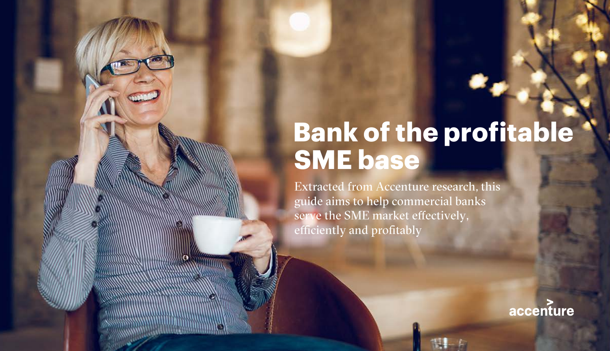## **Bank of the profitable SME base**

Extracted from Accenture research, this guide aims to help commercial banks serve the SME market effectively, efficiently and profitably

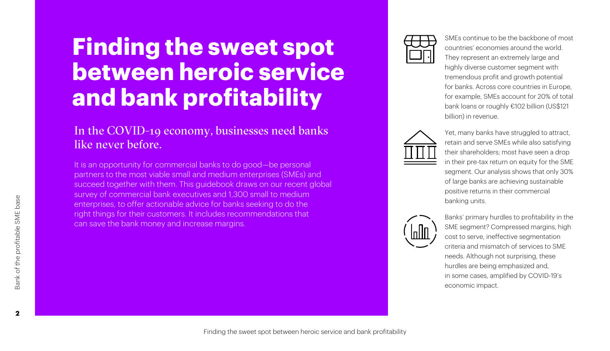## **Finding the sweet spot between heroic service and bank profitability**

#### In the COVID-19 economy, businesses need banks like never before.

It is an opportunity for commercial banks to do good—be personal partners to the most viable small and medium enterprises (SMEs) and succeed together with them. This guidebook draws on our recent global survey of commercial bank executives and 1,300 small to medium enterprises, to offer actionable advice for banks seeking to do the right things for their customers. It includes recommendations that can save the bank money and increase margins.



SMEs continue to be the backbone of most countries' economies around the world. They represent an extremely large and highly diverse customer segment with tremendous profit and growth potential for banks. Across core countries in Europe, for example, SMEs account for 20% of total bank loans or roughly €102 billion (US\$121 billion) in revenue.



Yet, many banks have struggled to attract, retain and serve SMEs while also satisfying their shareholders; most have seen a drop in their pre-tax return on equity for the SME segment. Our analysis shows that only 30% of large banks are achieving sustainable positive returns in their commercial banking units.



Banks' primary hurdles to profitability in the SME segment? Compressed margins, high cost to serve, ineffective segmentation criteria and mismatch of services to SME needs. Although not surprising, these hurdles are being emphasized and, in some cases, amplified by COVID-19's economic impact.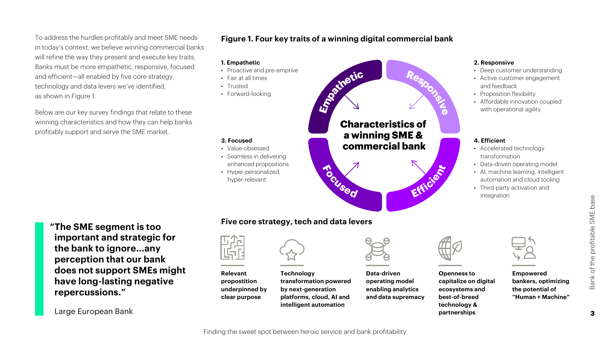To address the hurdles profitably and meet SME needs in today's context, we believe winning commercial banks will refine the way they present and execute key traits. Banks must be more empathetic, responsive, focused and efficient—all enabled by five core strategy, technology and data levers we've identified, as shown in Figure 1.

Below are our key survey findings that relate to these winning characteristics and how they can help banks profitably support and serve the SME market.

#### **Figure 1. Four key traits of a winning digital commercial bank**

#### **1. Empathetic**

- Proactive and pre-emptive
- Fair at all times
- Trusted
- Forward-looking

#### **3. Focused**

- Value-obsessed
- Seamless in delivering enhanced propositions
- Hyper-personalized, hyper-relevant



#### **2. Responsive**

- Deep customer understanding
- Active customer engagement and feedback
- Proposition flexibility
- Affordable innovation coupled with operational agility

#### **4. Efficient**

- Accelerated technology transformation
- Data-driven operating model
- AI, machine learning, intelligent automation and cloud tooling
- Third-party activation and integration

**"The SME segment is too important and strategic for the bank to ignore...any perception that our bank does not support SMEs might have long-lasting negative repercussions."**

Large European Bank

#### **Five core strategy, tech and data levers**



**Relevant propostition underpinned by clear purpose**





**Data-driven operating model enabling analytics and data supremacy**



**Openness to** 

**ecosystems and best-of-breed technology & partnerships**

**capitalize on digital** 



**Empowered bankers, optimizing the potential of "Human + Machine"**

Finding the sweet spot between heroic service and bank profitability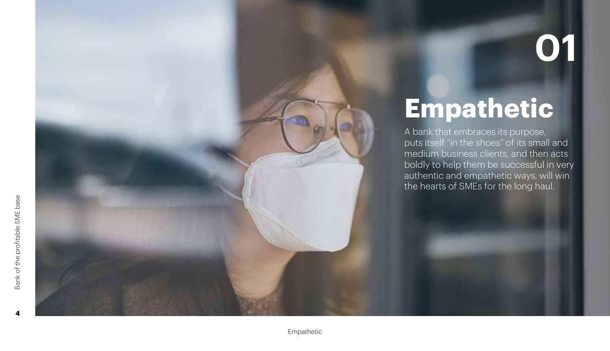# **Empathetic**

A bank that embraces its purpose, puts itself "in the shoes" of its small and medium business clients, and then acts boldly to help them be successful in very authentic and empathetic ways, will win the hearts of SMEs for the long haul.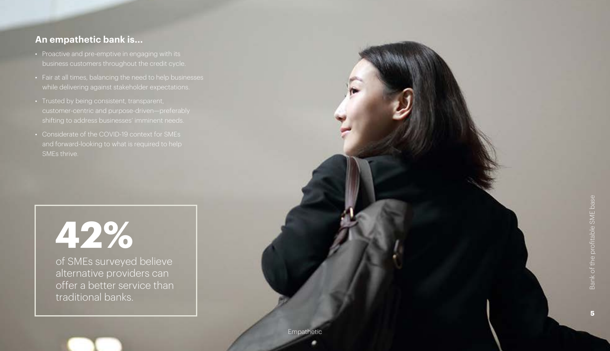#### **An empathetic bank is...**

- Proactive and pre-emptive in engaging with its business customers throughout the credit cycle.
- Fair at all times, balancing the need to help businesses while delivering against stakeholder expectations.
- 
- Considerate of the COVID-19 context for SMEs SMEs thrive.

# **42%**

of SMEs surveyed believe alternative providers can offer a better service than traditional banks.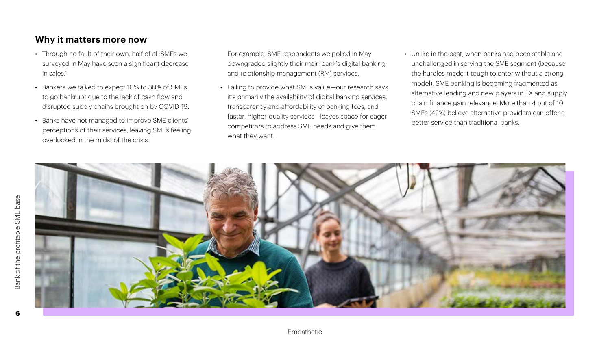#### **Why it matters more now**

- Through no fault of their own, half of all SMEs we surveyed in May have seen a significant decrease in sales.1
- Bankers we talked to expect 10% to 30% of SMEs to go bankrupt due to the lack of cash flow and disrupted supply chains brought on by COVID-19.
- Banks have not managed to improve SME clients' perceptions of their services, leaving SMEs feeling overlooked in the midst of the crisis.

For example, SME respondents we polled in May downgraded slightly their main bank's digital banking and relationship management (RM) services.

- Failing to provide what SMEs value—our research says it's primarily the availability of digital banking services, transparency and affordability of banking fees, and faster, higher-quality services—leaves space for eager competitors to address SME needs and give them what they want.
- Unlike in the past, when banks had been stable and unchallenged in serving the SME segment (because the hurdles made it tough to enter without a strong model), SME banking is becoming fragmented as alternative lending and new players in FX and supply chain finance gain relevance. More than 4 out of 10 SMEs (42%) believe alternative providers can offer a better service than traditional banks.

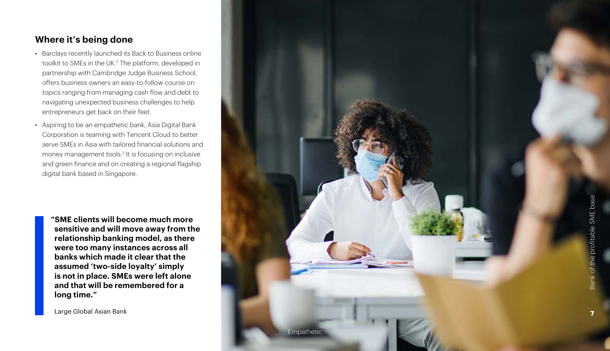#### **Where it's being done**

- Barclays recently launched its Back to Business online toolkit to SMEs in the UK. 2 The platform, developed in partnership with Cambridge Judge Business School, offers business owners an easy-to-follow course on topics ranging from managing cash flow and debt to navigating unexpected business challenges to help entrepreneurs get back on their feet.
- Aspiring to be an empathetic bank, Asia Digital Bank Corporation is teaming with Tencent Cloud to better serve SMEs in Asia with tailored financial solutions and money management tools.<sup>3</sup> It is focusing on inclusive and green finance and on creating a regional flagship digital bank based in Singapore.

**"SME clients will become much more sensitive and will move away from the relationship banking model, as there were too many instances across all banks which made it clear that the assumed 'two-side loyalty' simply is not in place. SMEs were left alone and that will be remembered for a long time."** 

Large Global Asian Bank

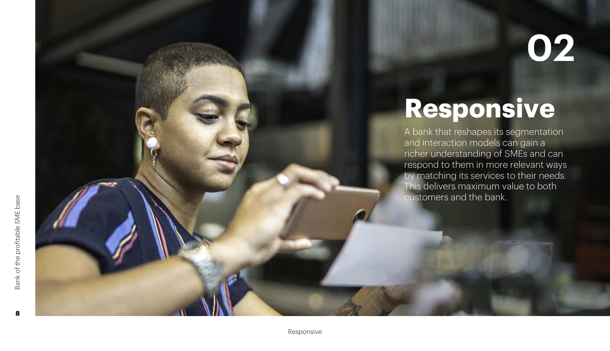# **Responsive**

A bank that reshapes its segmentation and interaction models can gain a richer understanding of SMEs and can respond to them in more relevant ways by matching its services to their needs. This delivers maximum value to both customers and the bank.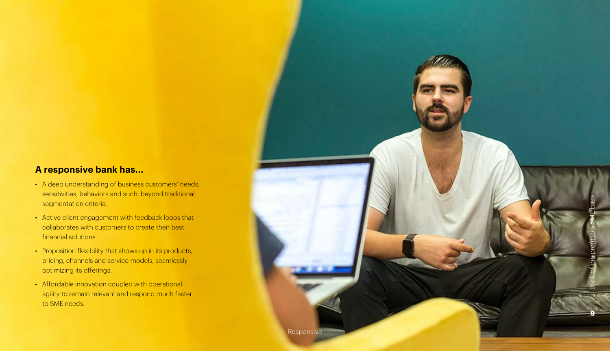#### **A responsive bank has...**

- A deep understanding of business customers' needs, sensitivities, behaviors and such, beyond traditional segmentation criteria.
- Active client engagement with feedback loops that collaborates with customers to create their best financial solutions.
- Proposition flexibility that shows up in its products, pricing, channels and service models, seamlessly optimizing its offerings.
- Affordable innovation coupled with operational agility to remain relevant and respond much faster to SME needs.

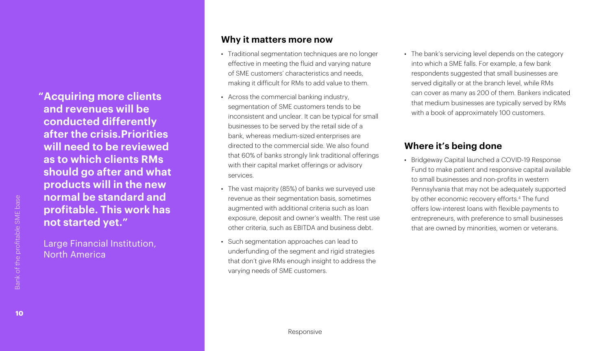**"Acquiring more clients and revenues will be conducted differently after the crisis.Priorities will need to be reviewed as to which clients RMs should go after and what products will in the new normal be standard and profitable. This work has not started yet."**

Large Financial Institution, North America

#### **Why it matters more now**

- Traditional segmentation techniques are no longer effective in meeting the fluid and varying nature of SME customers' characteristics and needs, making it difficult for RMs to add value to them.
- Across the commercial banking industry, segmentation of SME customers tends to be inconsistent and unclear. It can be typical for small businesses to be served by the retail side of a bank, whereas medium-sized enterprises are directed to the commercial side. We also found that 60% of banks strongly link traditional offerings with their capital market offerings or advisory services.
- The vast majority (85%) of banks we surveyed use revenue as their segmentation basis, sometimes augmented with additional criteria such as loan exposure, deposit and owner's wealth. The rest use other criteria, such as EBITDA and business debt.
- Such segmentation approaches can lead to underfunding of the segment and rigid strategies that don't give RMs enough insight to address the varying needs of SME customers.

• The bank's servicing level depends on the category into which a SME falls. For example, a few bank respondents suggested that small businesses are served digitally or at the branch level, while RMs can cover as many as 200 of them. Bankers indicated that medium businesses are typically served by RMs with a book of approximately 100 customers.

#### **Where it's being done**

• Bridgeway Capital launched a COVID-19 Response Fund to make patient and responsive capital available to small businesses and non-profits in western Pennsylvania that may not be adequately supported by other economic recovery efforts.4 The fund offers low-interest loans with flexible payments to entrepreneurs, with preference to small businesses that are owned by minorities, women or veterans.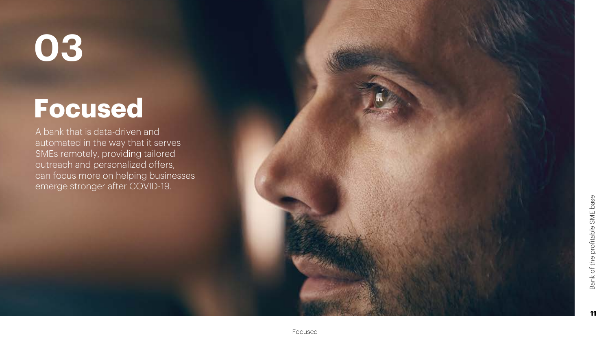## **Focused**

A bank that is data-driven and automated in the way that it serves SMEs remotely, providing tailored outreach and personalized offers, can focus more on helping businesses emerge stronger after COVID-19.

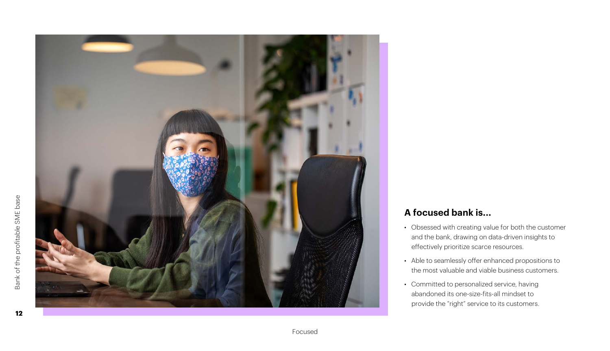

#### **A focused bank is...**

- Obsessed with creating value for both the customer and the bank, drawing on data-driven insights to effectively prioritize scarce resources.
- Able to seamlessly offer enhanced propositions to the most valuable and viable business customers.
- Committed to personalized service, having abandoned its one-size-fits-all mindset to provide the "right" service to its customers.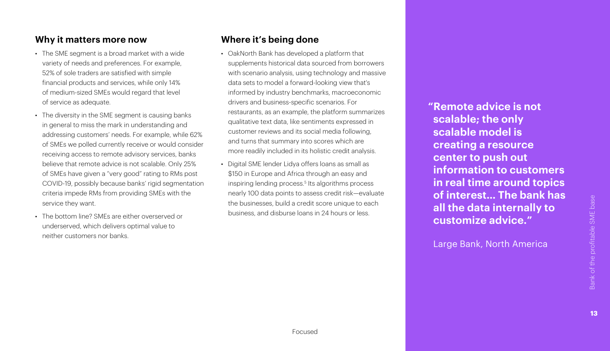#### **Why it matters more now**

- The SME segment is a broad market with a wide variety of needs and preferences. For example, 52% of sole traders are satisfied with simple financial products and services, while only 14% of medium-sized SMEs would regard that level of service as adequate.
- The diversity in the SME segment is causing banks in general to miss the mark in understanding and addressing customers' needs. For example, while 62% of SMEs we polled currently receive or would consider receiving access to remote advisory services, banks believe that remote advice is not scalable. Only 25% of SMEs have given a "very good" rating to RMs post COVID-19, possibly because banks' rigid segmentation criteria impede RMs from providing SMEs with the service they want.
- The bottom line? SMEs are either overserved or underserved, which delivers optimal value to neither customers nor banks.

#### **Where it's being done**

- OakNorth Bank has developed a platform that supplements historical data sourced from borrowers with scenario analysis, using technology and massive data sets to model a forward-looking view that's informed by industry benchmarks, macroeconomic drivers and business-specific scenarios. For restaurants, as an example, the platform summarizes qualitative text data, like sentiments expressed in customer reviews and its social media following, and turns that summary into scores which are more readily included in its holistic credit analysis.
- Digital SME lender Lidya offers loans as small as \$150 in Europe and Africa through an easy and inspiring lending process.<sup>5</sup> Its algorithms process nearly 100 data points to assess credit risk—evaluate the businesses, build a credit score unique to each business, and disburse loans in 24 hours or less.

**"Remote advice is not scalable; the only scalable model is creating a resource center to push out information to customers in real time around topics of interest… The bank has all the data internally to customize advice."** 

Large Bank, North America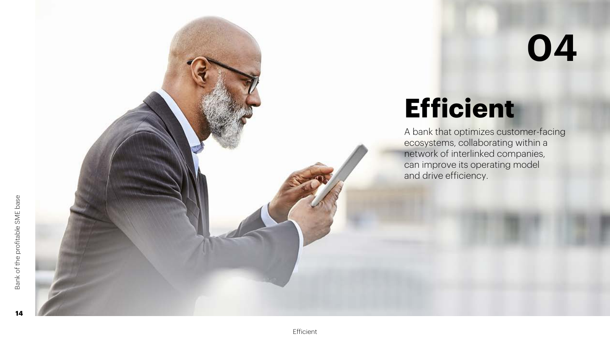## **Efficient**

A bank that optimizes customer-facing ecosystems, collaborating within a network of interlinked companies, can improve its operating model and drive efficiency.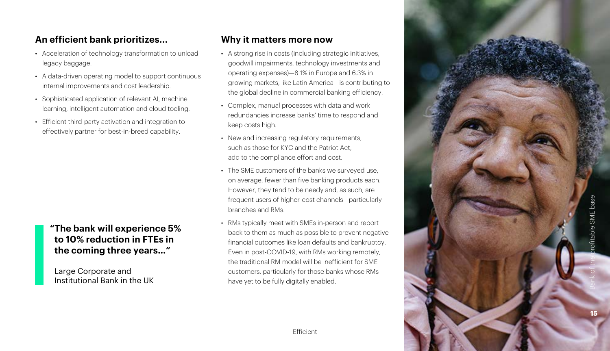#### **An efficient bank prioritizes...**

- Acceleration of technology transformation to unload legacy baggage.
- A data-driven operating model to support continuous internal improvements and cost leadership.
- Sophisticated application of relevant AI, machine learning, intelligent automation and cloud tooling.
- Efficient third-party activation and integration to effectively partner for best-in-breed capability.

#### **"The bank will experience 5% to 10% reduction in FTEs in the coming three years…"**

Large Corporate and Institutional Bank in the UK

#### **Why it matters more now**

- A strong rise in costs (including strategic initiatives, goodwill impairments, technology investments and operating expenses)—8.1% in Europe and 6.3% in growing markets, like Latin America—is contributing to the global decline in commercial banking efficiency.
- Complex, manual processes with data and work redundancies increase banks' time to respond and keep costs high.
- New and increasing regulatory requirements, such as those for KYC and the Patriot Act add to the compliance effort and cost.
- The SME customers of the banks we surveyed use, on average, fewer than five banking products each. However, they tend to be needy and, as such, are frequent users of higher-cost channels—particularly branches and RMs.
- RMs typically meet with SMEs in-person and report back to them as much as possible to prevent negative financial outcomes like loan defaults and bankruptcy. Even in post-COVID-19, with RMs working remotely, the traditional RM model will be inefficient for SME customers, particularly for those banks whose RMs have yet to be fully digitally enabled.

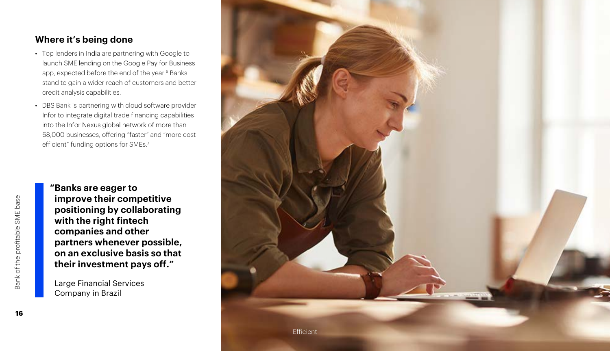#### **Where it's being done**

- Top lenders in India are partnering with Google to launch SME lending on the Google Pay for Business app, expected before the end of the year.<sup>6</sup> Banks stand to gain a wider reach of customers and better credit analysis capabilities.
- DBS Bank is partnering with cloud software provider Infor to integrate digital trade financing capabilities into the Infor Nexus global network of more than 68,000 businesses, offering "faster" and "more cost efficient" funding options for SMEs.<sup>7</sup>

**"Banks are eager to improve their competitive positioning by collaborating with the right fintech companies and other partners whenever possible, on an exclusive basis so that their investment pays off."** 

Large Financial Services Company in Brazil

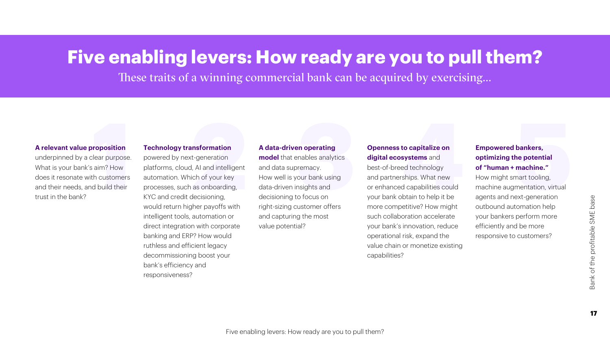### **Five enabling levers: How ready are you to pull them?**

These traits of a winning commercial bank can be acquired by exercising...

#### **A relevant value proposition**

underpinned by a clear purpose. What is your bank's aim? How does it resonate with customers and their needs, and build their trust in the bank?

#### **Technology transformation**

powered by next-generation platforms, cloud, AI and intelligent automation. Which of your key processes, such as onboarding, KYC and credit decisioning, would return higher payoffs with intelligent tools, automation or direct integration with corporate banking and ERP? How would ruthless and efficient legacy decommissioning boost your bank's efficiency and responsiveness?

#### **1 2 3 4 5 A data-driven operating model** that enables analytics and data supremacy. How well is your bank using data-driven insights and decisioning to focus on right-sizing customer offers and capturing the most value potential?

#### **Openness to capitalize on digital ecosystems** and

best-of-breed technology and partnerships. What new or enhanced capabilities could your bank obtain to help it be more competitive? How might such collaboration accelerate your bank's innovation, reduce operational risk, expand the value chain or monetize existing capabilities?

#### **Empowered bankers, optimizing the potential of "human + machine."**

How might smart tooling, machine augmentation, virtual agents and next-generation outbound automation help your bankers perform more efficiently and be more responsive to customers?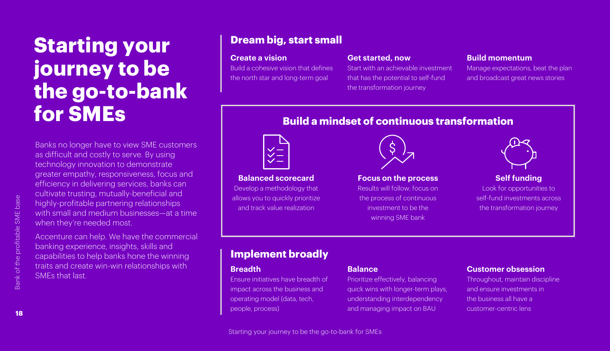### **Starting your journey to be the go-to-bank for SMEs**

Banks no longer have to view SME customers as difficult and costly to serve. By using technology innovation to demonstrate greater empathy, responsiveness, focus and efficiency in delivering services, banks can cultivate trusting, mutually-beneficial and highly-profitable partnering relationships with small and medium businesses—at a time when they're needed most.

Accenture can help. We have the commercial banking experience, insights, skills and capabilities to help banks hone the winning traits and create win-win relationships with SMEs that last.

#### **Dream big, start small**

#### **Create a vision**

Build a cohesive vision that defines the north star and long-term goal

#### **Get started, now**

Start with an achievable investment that has the potential to self-fund the transformation journey

#### **Build momentum**

Manage expectations, beat the plan and broadcast great news stories

#### **Build a mindset of continuous transformation**



**Balanced scorecard**

Develop a methodology that allows you to quickly prioritize and track value realization



#### **Focus on the process**

Results will follow; focus on the process of continuous investment to be the winning SME bank



#### **Self funding**

Look for opportunities to self-fund investments across the transformation journey

#### **Implement broadly**

#### **Breadth**

Ensure initiatives have breadth of impact across the business and operating model (data, tech, people, process)

#### **Balance**

Prioritize effectively, balancing quick wins with longer-term plays, understanding interdependency and managing impact on BAU

#### **Customer obsession**

Throughout, maintain discipline and ensure investments in the business all have a customer-centric lens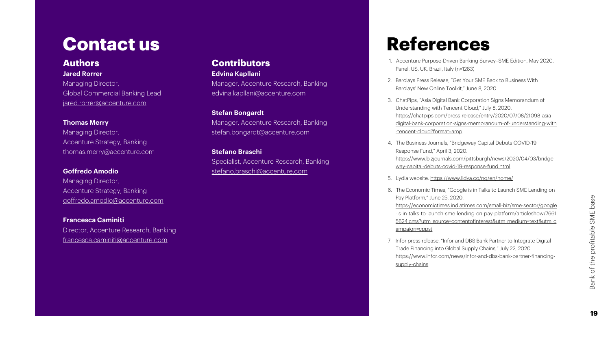### **Contact us**

#### **Authors Jared Rorrer**

Managing Director, Global Commercial Banking Lead jared.rorrer@accenture.com

#### **Thomas Merry**

Managing Director, Accenture Strategy, Banking thomas.merry@accenture.com

#### **Goffredo Amodio**

Managing Director, Accenture Strategy, Banking goffredo.amodio@accenture.com

**Francesca Caminiti** Director, Accenture Research, Banking francesca.caminiti@accenture.com

#### **Contributors**

**Edvina Kapllani** Manager, Accenture Research, Banking

edvina.kapllani@accenture.com

#### **Stefan Bongardt**

Manager, Accenture Research, Banking stefan.bongardt@accenture.com

#### **Stefano Braschi**

Specialist, Accenture Research, Banking stefano.braschi@accenture.com

### **References**

- 1. Accenture Purpose-Driven Banking Survey–SME Edition, May 2020. Panel: US, UK, Brazil, Italy (n=1283)
- 2. Barclays Press Release, "Get Your SME Back to Business With Barclays' New Online Toolkit," June 8, 2020.
- 3. ChatPips, "Asia Digital Bank Corporation Signs Memorandum of Understanding with Tencent Cloud," July 8, 2020. https://chatpips.com/press-release/entry/2020/07/08/21098-asia[digital-bank-corporation-signs-memorandum-of-understanding-with](https://chatpips.com/press-release/entry/2020/07/08/21098-asia-digital-bank-corporation-signs-memorandum-of-understanding-with-tencent-cloud?format=amp) -tencent-cloud?format=amp
- 4. The Business Journals, "Bridgeway Capital Debuts COVID-19 Response Fund," April 3, 2020. [https://www.bizjournals.com/pittsburgh/news/2020/04/03/bridge](https://www.bizjournals.com/pittsburgh/news/2020/04/03/bridgeway-capital-debuts-covid-19-response-fund.html) way-capital-debuts-covid-19-response-fund.html
- 5. Lydia website. https://www.lidya.co/ng/en/home/
- 6. The Economic Times, "Google is in Talks to Launch SME Lending on Pay Platform," June 25, 2020. [https://economictimes.indiatimes.com/small-biz/sme-sector/google](https://economictimes.indiatimes.com/small-biz/sme-sector/google-is-in-talks-to-launch-sme-lending-on-pay-platform/articleshow/76615624.cms?utm_source=contentofinterest&utm_medium=text&utm_campaign=cppst) -is-in-talks-to-launch-sme-lending-on-pay-platform/articleshow/7661 5624.cms?utm\_source=contentofinterest&utm\_medium=text&utm\_c ampaign=cppst
- 7. Infor press release, "Infor and DBS Bank Partner to Integrate Digital Trade Financing into Global Supply Chains," July 22, 2020. [https://www.infor.com/news/infor-and-dbs-bank-partner-financing](https://www.infor.com/news/infor-and-dbs-bank-partner-financing-supply-chains)supply-chains